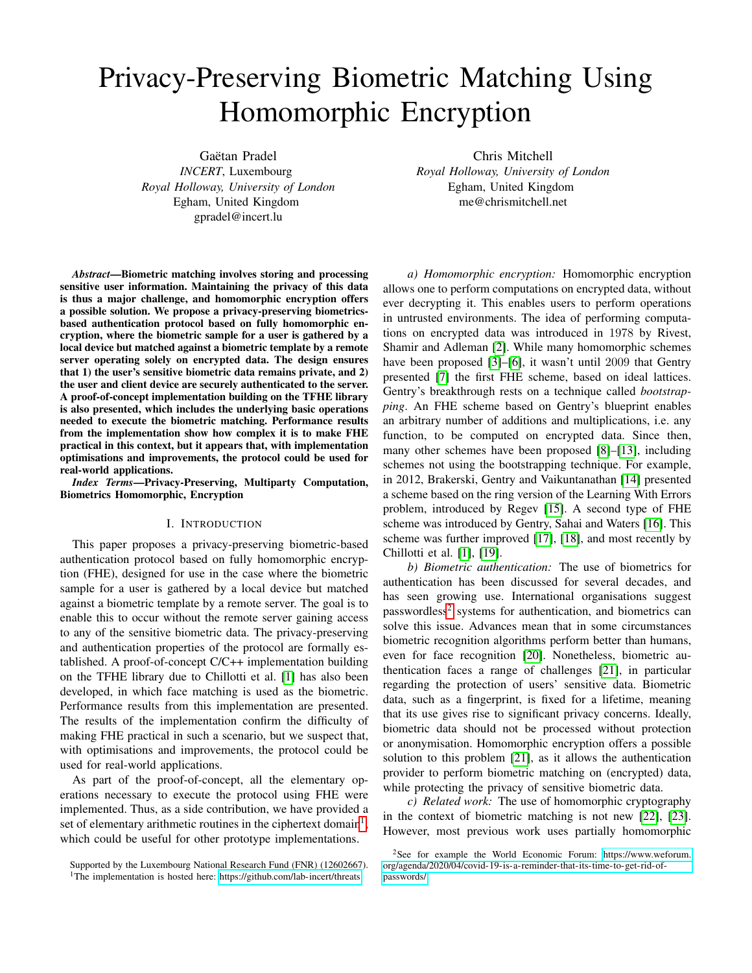# Privacy-Preserving Biometric Matching Using Homomorphic Encryption

Gaëtan Pradel *INCERT*, Luxembourg *Royal Holloway, University of London* Egham, United Kingdom gpradel@incert.lu

*Abstract*—Biometric matching involves storing and processing sensitive user information. Maintaining the privacy of this data is thus a major challenge, and homomorphic encryption offers a possible solution. We propose a privacy-preserving biometricsbased authentication protocol based on fully homomorphic encryption, where the biometric sample for a user is gathered by a local device but matched against a biometric template by a remote server operating solely on encrypted data. The design ensures that 1) the user's sensitive biometric data remains private, and 2) the user and client device are securely authenticated to the server. A proof-of-concept implementation building on the TFHE library is also presented, which includes the underlying basic operations needed to execute the biometric matching. Performance results from the implementation show how complex it is to make FHE practical in this context, but it appears that, with implementation optimisations and improvements, the protocol could be used for real-world applications.

*Index Terms*—Privacy-Preserving, Multiparty Computation, Biometrics Homomorphic, Encryption

#### I. INTRODUCTION

This paper proposes a privacy-preserving biometric-based authentication protocol based on fully homomorphic encryption (FHE), designed for use in the case where the biometric sample for a user is gathered by a local device but matched against a biometric template by a remote server. The goal is to enable this to occur without the remote server gaining access to any of the sensitive biometric data. The privacy-preserving and authentication properties of the protocol are formally established. A proof-of-concept C/C++ implementation building on the TFHE library due to Chillotti et al. [\[1\]](#page-8-0) has also been developed, in which face matching is used as the biometric. Performance results from this implementation are presented. The results of the implementation confirm the difficulty of making FHE practical in such a scenario, but we suspect that, with optimisations and improvements, the protocol could be used for real-world applications.

As part of the proof-of-concept, all the elementary operations necessary to execute the protocol using FHE were implemented. Thus, as a side contribution, we have provided a set of elementary arithmetic routines in the ciphertext domain<sup>[1](#page-0-0)</sup>, which could be useful for other prototype implementations.

Chris Mitchell *Royal Holloway, University of London* Egham, United Kingdom me@chrismitchell.net

*a) Homomorphic encryption:* Homomorphic encryption allows one to perform computations on encrypted data, without ever decrypting it. This enables users to perform operations in untrusted environments. The idea of performing computations on encrypted data was introduced in 1978 by Rivest, Shamir and Adleman [\[2\]](#page-8-1). While many homomorphic schemes have been proposed [\[3\]](#page-8-2)–[\[6\]](#page-9-0), it wasn't until 2009 that Gentry presented [\[7\]](#page-9-1) the first FHE scheme, based on ideal lattices. Gentry's breakthrough rests on a technique called *bootstrapping*. An FHE scheme based on Gentry's blueprint enables an arbitrary number of additions and multiplications, i.e. any function, to be computed on encrypted data. Since then, many other schemes have been proposed [\[8\]](#page-9-2)–[\[13\]](#page-9-3), including schemes not using the bootstrapping technique. For example, in 2012, Brakerski, Gentry and Vaikuntanathan [\[14\]](#page-9-4) presented a scheme based on the ring version of the Learning With Errors problem, introduced by Regev [\[15\]](#page-9-5). A second type of FHE scheme was introduced by Gentry, Sahai and Waters [\[16\]](#page-9-6). This scheme was further improved [\[17\]](#page-9-7), [\[18\]](#page-9-8), and most recently by Chillotti et al. [\[1\]](#page-8-0), [\[19\]](#page-9-9).

*b) Biometric authentication:* The use of biometrics for authentication has been discussed for several decades, and has seen growing use. International organisations suggest passwordless<sup>[2](#page-0-1)</sup> systems for authentication, and biometrics can solve this issue. Advances mean that in some circumstances biometric recognition algorithms perform better than humans, even for face recognition [\[20\]](#page-9-10). Nonetheless, biometric authentication faces a range of challenges [\[21\]](#page-9-11), in particular regarding the protection of users' sensitive data. Biometric data, such as a fingerprint, is fixed for a lifetime, meaning that its use gives rise to significant privacy concerns. Ideally, biometric data should not be processed without protection or anonymisation. Homomorphic encryption offers a possible solution to this problem [\[21\]](#page-9-11), as it allows the authentication provider to perform biometric matching on (encrypted) data, while protecting the privacy of sensitive biometric data.

*c) Related work:* The use of homomorphic cryptography in the context of biometric matching is not new [\[22\]](#page-9-12), [\[23\]](#page-9-13). However, most previous work uses partially homomorphic

Supported by the Luxembourg National Research Fund (FNR) (12602667).

<span id="page-0-0"></span><sup>&</sup>lt;sup>1</sup>The implementation is hosted here: [https://github.com/lab-incert/threats.](https://github.com/lab-incert/threats)

<span id="page-0-1"></span><sup>2</sup>See for example the World Economic Forum: [https://www.weforum.](https://www.weforum.org/agenda/2020/04/covid-19-is-a-reminder-that-its-time-to-get-rid-of-passwords/) [org/agenda/2020/04/covid-19-is-a-reminder-that-its-time-to-get-rid-of](https://www.weforum.org/agenda/2020/04/covid-19-is-a-reminder-that-its-time-to-get-rid-of-passwords/)[passwords/.](https://www.weforum.org/agenda/2020/04/covid-19-is-a-reminder-that-its-time-to-get-rid-of-passwords/)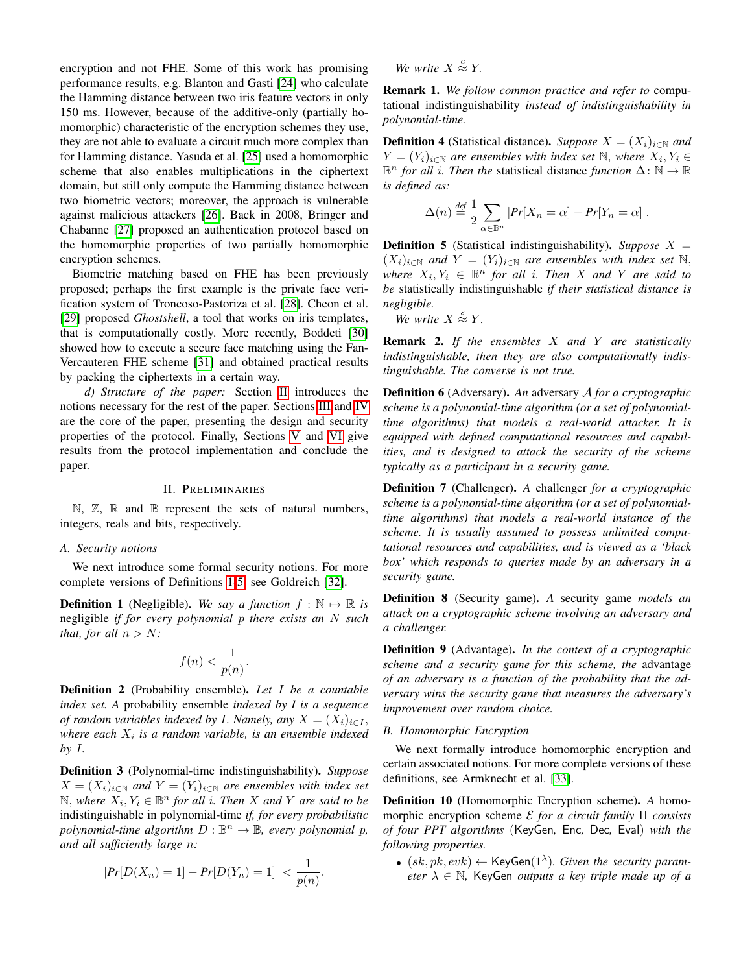encryption and not FHE. Some of this work has promising performance results, e.g. Blanton and Gasti [\[24\]](#page-9-14) who calculate the Hamming distance between two iris feature vectors in only 150 ms. However, because of the additive-only (partially homomorphic) characteristic of the encryption schemes they use, they are not able to evaluate a circuit much more complex than for Hamming distance. Yasuda et al. [\[25\]](#page-9-15) used a homomorphic scheme that also enables multiplications in the ciphertext domain, but still only compute the Hamming distance between two biometric vectors; moreover, the approach is vulnerable against malicious attackers [\[26\]](#page-9-16). Back in 2008, Bringer and Chabanne [\[27\]](#page-9-17) proposed an authentication protocol based on the homomorphic properties of two partially homomorphic encryption schemes.

Biometric matching based on FHE has been previously proposed; perhaps the first example is the private face verification system of Troncoso-Pastoriza et al. [\[28\]](#page-9-18). Cheon et al. [\[29\]](#page-9-19) proposed *Ghostshell*, a tool that works on iris templates, that is computationally costly. More recently, Boddeti [\[30\]](#page-9-20) showed how to execute a secure face matching using the Fan-Vercauteren FHE scheme [\[31\]](#page-9-21) and obtained practical results by packing the ciphertexts in a certain way.

*d) Structure of the paper:* Section [II](#page-1-0) introduces the notions necessary for the rest of the paper. Sections [III](#page-2-0) and [IV](#page-5-0) are the core of the paper, presenting the design and security properties of the protocol. Finally, Sections [V](#page-7-0) and [VI](#page-8-3) give results from the protocol implementation and conclude the paper.

## II. PRELIMINARIES

<span id="page-1-0"></span> $\mathbb{N}, \mathbb{Z}, \mathbb{R}$  and  $\mathbb{B}$  represent the sets of natural numbers, integers, reals and bits, respectively.

# *A. Security notions*

We next introduce some formal security notions. For more complete versions of Definitions [1](#page-1-1)[-5,](#page-1-2) see Goldreich [\[32\]](#page-9-22).

<span id="page-1-1"></span>**Definition 1** (Negligible). We say a function  $f : \mathbb{N} \to \mathbb{R}$  is negligible *if for every polynomial* p *there exists an* N *such that, for all*  $n > N$ *:* 

$$
f(n) < \frac{1}{p(n)}.
$$

Definition 2 (Probability ensemble). *Let* I *be a countable index set. A* probability ensemble *indexed by I is a sequence of random variables indexed by I. Namely, any*  $X = (X_i)_{i \in I}$ , where each  $X_i$  is a random variable, is an ensemble indexed *by* I*.*

Definition 3 (Polynomial-time indistinguishability). *Suppose*  $X = (X_i)_{i \in \mathbb{N}}$  and  $Y = (Y_i)_{i \in \mathbb{N}}$  are ensembles with index set  $\mathbb{N},$  where  $X_i, Y_i \in \mathbb{B}^n$  for all i. Then X and Y are said to be indistinguishable in polynomial-time *if, for every probabilistic*  $polynomial-time algorithm D: \mathbb{B}^n \to \mathbb{B}$ *, every polynomial p*, *and all sufficiently large* n*:*

$$
|Pr[D(X_n) = 1] - Pr[D(Y_n) = 1]| < \frac{1}{p(n)}.
$$

*We write*  $X \stackrel{c}{\approx} Y$ .

Remark 1. *We follow common practice and refer to* computational indistinguishability *instead of indistinguishability in polynomial-time.*

**Definition 4** (Statistical distance). *Suppose*  $X = (X_i)_{i \in \mathbb{N}}$  and  $Y = (Y_i)_{i \in \mathbb{N}}$  are ensembles with index set  $\mathbb{N}$ , where  $X_i, Y_i \in$ B <sup>n</sup> *for all* <sup>i</sup>*. Then the* statistical distance *function* ∆: <sup>N</sup> <sup>→</sup> <sup>R</sup> *is defined as:*

$$
\Delta(n) \stackrel{\text{def}}{=} \frac{1}{2} \sum_{\alpha \in \mathbb{B}^n} |Pr[X_n = \alpha] - Pr[Y_n = \alpha]|.
$$

<span id="page-1-2"></span>Definition 5 (Statistical indistinguishability). *Suppose* X =  $(X_i)_{i\in\mathbb{N}}$  and  $Y = (Y_i)_{i\in\mathbb{N}}$  are ensembles with index set  $\mathbb{N}$ ,  $where X_i, Y_i \in \mathbb{B}^n$  *for all i. Then* X *and* Y *are said to be* statistically indistinguishable *if their statistical distance is negligible.*

We write  $X \stackrel{s}{\approx} Y$ .

Remark 2. *If the ensembles* X *and* Y *are statistically indistinguishable, then they are also computationally indistinguishable. The converse is not true.*

Definition 6 (Adversary). *An* adversary A *for a cryptographic scheme is a polynomial-time algorithm (or a set of polynomialtime algorithms) that models a real-world attacker. It is equipped with defined computational resources and capabilities, and is designed to attack the security of the scheme typically as a participant in a security game.*

Definition 7 (Challenger). *A* challenger *for a cryptographic scheme is a polynomial-time algorithm (or a set of polynomialtime algorithms) that models a real-world instance of the scheme. It is usually assumed to possess unlimited computational resources and capabilities, and is viewed as a 'black box' which responds to queries made by an adversary in a security game.*

Definition 8 (Security game). *A* security game *models an attack on a cryptographic scheme involving an adversary and a challenger.*

Definition 9 (Advantage). *In the context of a cryptographic scheme and a security game for this scheme, the* advantage *of an adversary is a function of the probability that the adversary wins the security game that measures the adversary's improvement over random choice.*

#### *B. Homomorphic Encryption*

We next formally introduce homomorphic encryption and certain associated notions. For more complete versions of these definitions, see Armknecht et al. [\[33\]](#page-9-23).

<span id="page-1-3"></span>Definition 10 (Homomorphic Encryption scheme). *A* homomorphic encryption scheme E *for a circuit family* Π *consists of four PPT algorithms* (KeyGen*,* Enc*,* Dec*,* Eval) *with the following properties.*

•  $(sk, pk, evk)$  ← KeyGen( $1^{\lambda}$ ). Given the security param*eter*  $\lambda \in \mathbb{N}$ , KeyGen *outputs a key triple made up of a*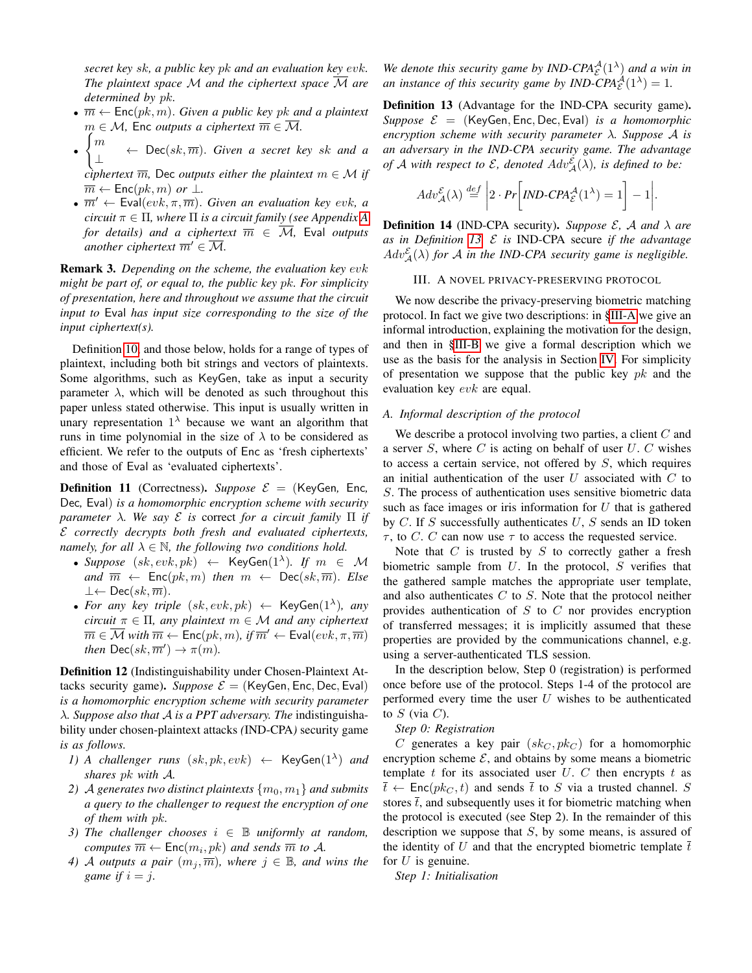*secret key* sk*, a public key* pk *and an evaluation key* evk*. The plaintext space* M *and the ciphertext space*  $\overline{M}$  *are determined by* pk*.*

- $\overline{m} \leftarrow \text{Enc}(pk, m)$ . *Given a public key pk and a plaintext*  $m \in \mathcal{M}$ , Enc *outputs a ciphertext*  $\overline{m} \in \overline{\mathcal{M}}$ .
- $\int$ ⊥  $\leftarrow$  Dec(sk,  $\overline{m}$ ). *Given a secret key sk and a*

*ciphertext*  $\overline{m}$ *,* Dec *outputs either the plaintext*  $m \in \mathcal{M}$  *if*  $\overline{m} \leftarrow \text{Enc}(pk, m)$  *or*  $\perp$ *.* 

•  $\overline{m}' \leftarrow$  Eval $(evk, \pi, \overline{m})$ . *Given an evaluation key evk, a circuit*  $\pi \in \Pi$ *, where*  $\Pi$  *is a circuit family (see [A](#page-9-24)ppendix A for details) and a ciphertext*  $\overline{m} \in \overline{\mathcal{M}}$ , Eval *outputs another ciphertext*  $\overline{m}' \in \overline{\mathcal{M}}$ *.* 

Remark 3. *Depending on the scheme, the evaluation key* evk *might be part of, or equal to, the public key* pk*. For simplicity of presentation, here and throughout we assume that the circuit input to* Eval *has input size corresponding to the size of the input ciphertext(s).*

Definition [10,](#page-1-3) and those below, holds for a range of types of plaintext, including both bit strings and vectors of plaintexts. Some algorithms, such as KeyGen, take as input a security parameter  $\lambda$ , which will be denoted as such throughout this paper unless stated otherwise. This input is usually written in unary representation  $1^{\lambda}$  because we want an algorithm that runs in time polynomial in the size of  $\lambda$  to be considered as efficient. We refer to the outputs of Enc as 'fresh ciphertexts' and those of Eval as 'evaluated ciphertexts'.

**Definition 11** (Correctness). *Suppose*  $\mathcal{E} =$  (KeyGen, Enc, Dec*,* Eval) *is a homomorphic encryption scheme with security parameter* λ*. We say* E *is* correct *for a circuit family* Π *if* E *correctly decrypts both fresh and evaluated ciphertexts, namely, for all*  $\lambda \in \mathbb{N}$ *, the following two conditions hold.* 

- *Suppose*  $(sk, evk, pk) \leftarrow \text{KeyGen}(1^{\lambda})$ . If  $m \in \mathcal{M}$ *and*  $\overline{m} \leftarrow \text{Enc}(pk, m)$  *then*  $m \leftarrow \text{Dec}(sk, \overline{m})$ *. Else*  $\perp$  ← Dec(sk,  $\overline{m}$ ).
- *For any key triple*  $(sk, evk, pk) \leftarrow \text{KeyGen}(1^{\lambda})$ , *any circuit*  $\pi \in \Pi$ *, any plaintext*  $m \in \mathcal{M}$  *and any ciphertext*  $\overline{m} \in \mathcal{M}$  *with*  $\overline{m} \leftarrow \mathsf{Enc}(pk, m)$ *, if*  $\overline{m}' \leftarrow \mathsf{Eval}(evk, \pi, \overline{m})$ *then*  $\mathsf{Dec}(sk, \overline{m}') \to \pi(m)$ *.*

Definition 12 (Indistinguishability under Chosen-Plaintext Attacks security game). *Suppose*  $\mathcal{E} =$  (KeyGen, Enc, Dec, Eval) *is a homomorphic encryption scheme with security parameter* λ*. Suppose also that* A *is a PPT adversary. The* indistinguishability under chosen-plaintext attacks *(*IND-CPA*)* security game *is as follows.*

- *1) A challenger runs*  $(sk, pk, evk) \leftarrow \text{KeyGen}(1^{\lambda})$  *and shares* pk *with* A*.*
- *2)* A generates two distinct plaintexts  $\{m_0, m_1\}$  and submits *a query to the challenger to request the encryption of one of them with* pk*.*
- *3) The challenger chooses*  $i \in \mathbb{B}$  *uniformly at random, computes*  $\overline{m} \leftarrow \textsf{Enc}(m_i, pk)$  *and sends*  $\overline{m}$  *to*  $\mathcal{A}$ *.*
- *4)* A *outputs a pair*  $(m_i, \overline{m})$ *, where*  $j \in \mathbb{B}$ *, and wins the game if*  $i = j$ .

We denote this security game by  $IND-CPA \mathcal{L}^{A}(1^{\lambda})$  and a win in *an instance of this security game by IND-CPA* $_{\mathcal{E}}^{\mathcal{A}}(1^{\lambda}) = 1$ *.* 

<span id="page-2-1"></span>Definition 13 (Advantage for the IND-CPA security game).  $Suppose \tE = (KeyGen, Enc, Dec,Eval) is a homomorphic$ *encryption scheme with security parameter* λ*. Suppose* A *is an adversary in the IND-CPA security game. The advantage of A* with respect to  $\mathcal{E}$ , denoted  $Adv_{\mathcal{A}}^{\mathcal{E}}(\lambda)$ , is defined to be:

$$
Adv_{\mathcal{A}}^{\mathcal{E}}(\lambda) \stackrel{def}{=} \bigg| 2 \cdot Pr \bigg[ IND \cdot CPA_{\mathcal{E}}^{\mathcal{A}}(1^{\lambda}) = 1 \bigg] - 1 \bigg|.
$$

<span id="page-2-3"></span>**Definition 14** (IND-CPA security). *Suppose*  $\mathcal{E}$ *, A and*  $\lambda$  *are as in Definition [13.](#page-2-1)* E *is* IND-CPA secure *if the advantage*  $Adv_{\mathcal{A}}^{\mathcal{E}}(\lambda)$  *for*  $\mathcal{A}$  *in the IND-CPA security game is negligible.* 

# III. A NOVEL PRIVACY-PRESERVING PROTOCOL

<span id="page-2-0"></span>We now describe the privacy-preserving biometric matching protocol. In fact we give two descriptions: in [§III-A](#page-2-2) we give an informal introduction, explaining the motivation for the design, and then in [§III-B](#page-3-0) we give a formal description which we use as the basis for the analysis in Section [IV.](#page-5-0) For simplicity of presentation we suppose that the public key  $pk$  and the evaluation key  $evk$  are equal.

#### <span id="page-2-2"></span>*A. Informal description of the protocol*

We describe a protocol involving two parties, a client  $C$  and a server  $S$ , where  $C$  is acting on behalf of user  $U$ .  $C$  wishes to access a certain service, not offered by S, which requires an initial authentication of the user  $U$  associated with  $C$  to S. The process of authentication uses sensitive biometric data such as face images or iris information for  $U$  that is gathered by  $C$ . If S successfully authenticates  $U$ , S sends an ID token  $\tau$ , to C. C can now use  $\tau$  to access the requested service.

Note that  $C$  is trusted by  $S$  to correctly gather a fresh biometric sample from  $U$ . In the protocol,  $S$  verifies that the gathered sample matches the appropriate user template, and also authenticates C to S. Note that the protocol neither provides authentication of  $S$  to  $C$  nor provides encryption of transferred messages; it is implicitly assumed that these properties are provided by the communications channel, e.g. using a server-authenticated TLS session.

In the description below, Step 0 (registration) is performed once before use of the protocol. Steps 1-4 of the protocol are performed every time the user  $U$  wishes to be authenticated to  $S$  (via  $C$ ).

*Step 0: Registration*

C generates a key pair  $(sk_C, pk_C)$  for a homomorphic encryption scheme  $\mathcal{E}$ , and obtains by some means a biometric template  $t$  for its associated user  $U$ .  $C$  then encrypts  $t$  as  $\overline{t}$  ← Enc( $pk_C, t$ ) and sends  $\overline{t}$  to S via a trusted channel. S stores  $\bar{t}$ , and subsequently uses it for biometric matching when the protocol is executed (see Step 2). In the remainder of this description we suppose that  $S$ , by some means, is assured of the identity of U and that the encrypted biometric template  $\bar{t}$ for  $U$  is genuine.

*Step 1: Initialisation*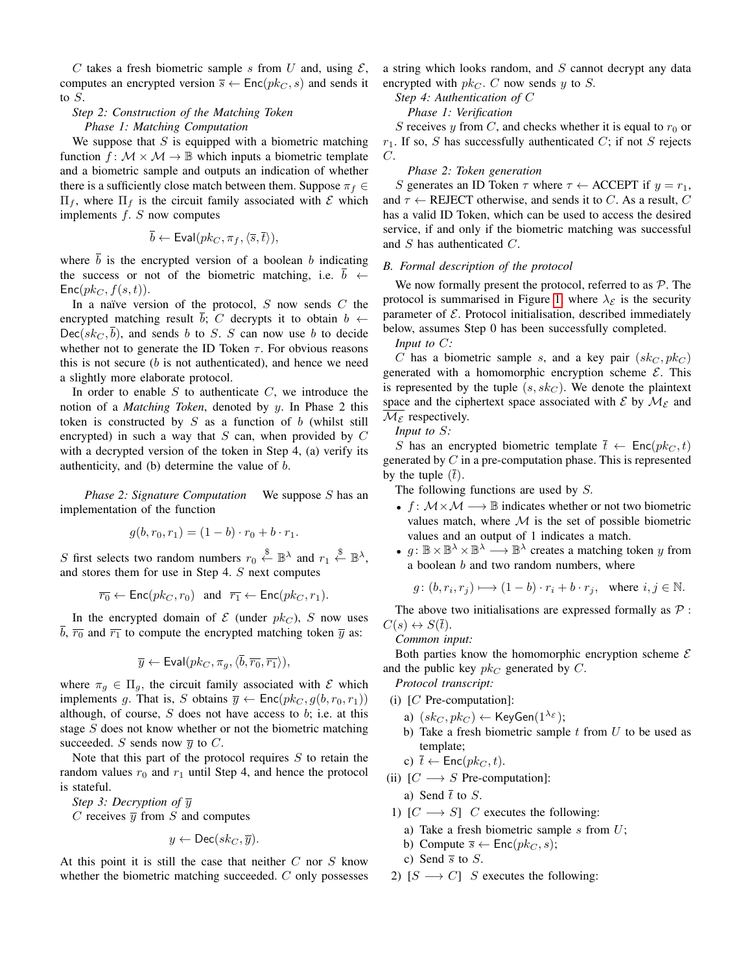C takes a fresh biometric sample s from U and, using  $\mathcal{E}$ , computes an encrypted version  $\overline{s} \leftarrow \text{Enc}(pk_C, s)$  and sends it to S.

# *Step 2: Construction of the Matching Token Phase 1: Matching Computation*

We suppose that  $S$  is equipped with a biometric matching function  $f: \mathcal{M} \times \mathcal{M} \rightarrow \mathbb{B}$  which inputs a biometric template and a biometric sample and outputs an indication of whether there is a sufficiently close match between them. Suppose  $\pi_f \in$  $\Pi_f$ , where  $\Pi_f$  is the circuit family associated with  $\mathcal E$  which implements  $f. S$  now computes

$$
\overline{b} \leftarrow \text{Eval}(pk_C, \pi_f, \langle \overline{s}, \overline{t} \rangle),
$$

where  $\overline{b}$  is the encrypted version of a boolean b indicating the success or not of the biometric matching, i.e.  $b \leftarrow$  $Enc(pk_C, f(s, t)).$ 

In a naïve version of the protocol,  $S$  now sends  $C$  the encrypted matching result  $\overline{b}$ ; C decrypts it to obtain  $b \leftarrow$  $Dec(sk_C, b)$ , and sends b to S. S can now use b to decide whether not to generate the ID Token  $\tau$ . For obvious reasons this is not secure  $(b$  is not authenticated), and hence we need a slightly more elaborate protocol.

In order to enable  $S$  to authenticate  $C$ , we introduce the notion of a *Matching Token*, denoted by y. In Phase 2 this token is constructed by  $S$  as a function of b (whilst still encrypted) in such a way that  $S$  can, when provided by  $C$ with a decrypted version of the token in Step 4, (a) verify its authenticity, and  $(b)$  determine the value of  $b$ .

*Phase 2: Signature Computation* We suppose S has an implementation of the function

$$
g(b, r_0, r_1) = (1 - b) \cdot r_0 + b \cdot r_1.
$$

S first selects two random numbers  $r_0 \stackrel{\$}{\leftarrow} \mathbb{B}^{\lambda}$  and  $r_1 \stackrel{\$}{\leftarrow} \mathbb{B}^{\lambda}$ , and stores them for use in Step 4. S next computes

$$
\overline{r_0} \leftarrow \mathsf{Enc}(pk_C, r_0) \quad \text{and} \quad \overline{r_1} \leftarrow \mathsf{Enc}(pk_C, r_1).
$$

In the encrypted domain of  $\mathcal E$  (under  $pk_C$ ), S now uses b,  $\overline{r_0}$  and  $\overline{r_1}$  to compute the encrypted matching token  $\overline{y}$  as:

$$
\overline{y} \leftarrow \text{Eval}(pk_C, \pi_g, \langle \overline{b}, \overline{r_0}, \overline{r_1} \rangle),
$$

where  $\pi_q \in \Pi_q$ , the circuit family associated with  $\mathcal E$  which implements g. That is, S obtains  $\overline{y} \leftarrow \text{Enc}(pk_C, g(b, r_0, r_1))$ although, of course,  $S$  does not have access to  $b$ ; i.e. at this stage  $S$  does not know whether or not the biometric matching succeeded. S sends now  $\overline{y}$  to C.

Note that this part of the protocol requires  $S$  to retain the random values  $r_0$  and  $r_1$  until Step 4, and hence the protocol is stateful.

*Step 3: Decryption of*  $\overline{y}$ 

C receives  $\overline{y}$  from S and computes

$$
y \leftarrow \mathsf{Dec}(sk_C, \overline{y}).
$$

At this point it is still the case that neither  $C$  nor  $S$  know whether the biometric matching succeeded. C only possesses a string which looks random, and S cannot decrypt any data encrypted with  $pk<sub>C</sub>$ . C now sends y to S.

*Step 4: Authentication of* C

*Phase 1: Verification*

S receives y from C, and checks whether it is equal to  $r_0$  or  $r_1$ . If so, S has successfully authenticated C; if not S rejects C.

#### *Phase 2: Token generation*

S generates an ID Token  $\tau$  where  $\tau \leftarrow$  ACCEPT if  $y = r_1$ , and  $\tau \leftarrow$  REJECT otherwise, and sends it to C. As a result, C has a valid ID Token, which can be used to access the desired service, if and only if the biometric matching was successful and S has authenticated C.

# <span id="page-3-0"></span>*B. Formal description of the protocol*

We now formally present the protocol, referred to as  $P$ . The protocol is summarised in Figure [1,](#page-4-0) where  $\lambda_{\mathcal{E}}$  is the security parameter of  $\mathcal E$ . Protocol initialisation, described immediately below, assumes Step 0 has been successfully completed.

# *Input to* C*:*

C has a biometric sample s, and a key pair  $(sk_C, pk_C)$ generated with a homomorphic encryption scheme  $\mathcal{E}$ . This is represented by the tuple  $(s, sk<sub>C</sub>)$ . We denote the plaintext space and the ciphertext space associated with  $\mathcal{E}$  by  $\mathcal{M}_{\mathcal{E}}$  and  $\overline{\mathcal{M}_{\mathcal{E}}}$  respectively.

*Input to* S*:*

S has an encrypted biometric template  $\overline{t} \leftarrow \text{Enc}(pk_C, t)$ generated by  $C$  in a pre-computation phase. This is represented by the tuple  $(\bar{t})$ .

The following functions are used by S.

- $f: \mathcal{M} \times \mathcal{M} \longrightarrow \mathbb{B}$  indicates whether or not two biometric values match, where  $M$  is the set of possible biometric values and an output of 1 indicates a match.
- $g: \mathbb{B} \times \mathbb{B}^{\lambda} \times \mathbb{B}^{\lambda} \longrightarrow \mathbb{B}^{\lambda}$  creates a matching token y from a boolean  $b$  and two random numbers, where

 $g: (b, r_i, r_j) \mapsto (1 - b) \cdot r_i + b \cdot r_j$ , where  $i, j \in \mathbb{N}$ .

The above two initialisations are expressed formally as  $P$ :  $C(s) \leftrightarrow S(\overline{t}).$ 

*Common input:*

Both parties know the homomorphic encryption scheme  $\mathcal E$ and the public key  $pk_C$  generated by  $C$ .

- *Protocol transcript:*
- (i)  $[C$  Pre-computation]:
	- a)  $(sk_C, pk_C) \leftarrow \text{KeyGen}(1^{\lambda_{\mathcal{E}}});$
	- b) Take a fresh biometric sample  $t$  from  $U$  to be used as template;
	- c)  $\bar{t} \leftarrow \text{Enc}(pk_C, t)$ .
- (ii)  $[C \longrightarrow S$  Pre-computation]:

a) Send  $\overline{t}$  to  $S$ .

- 1)  $[C \longrightarrow S]$  C executes the following:
	- a) Take a fresh biometric sample  $s$  from  $U$ ;
	- b) Compute  $\overline{s} \leftarrow \text{Enc}(pk_C, s)$ ;
	- c) Send  $\overline{s}$  to  $S$ .
- 2)  $[S \longrightarrow C]$  S executes the following: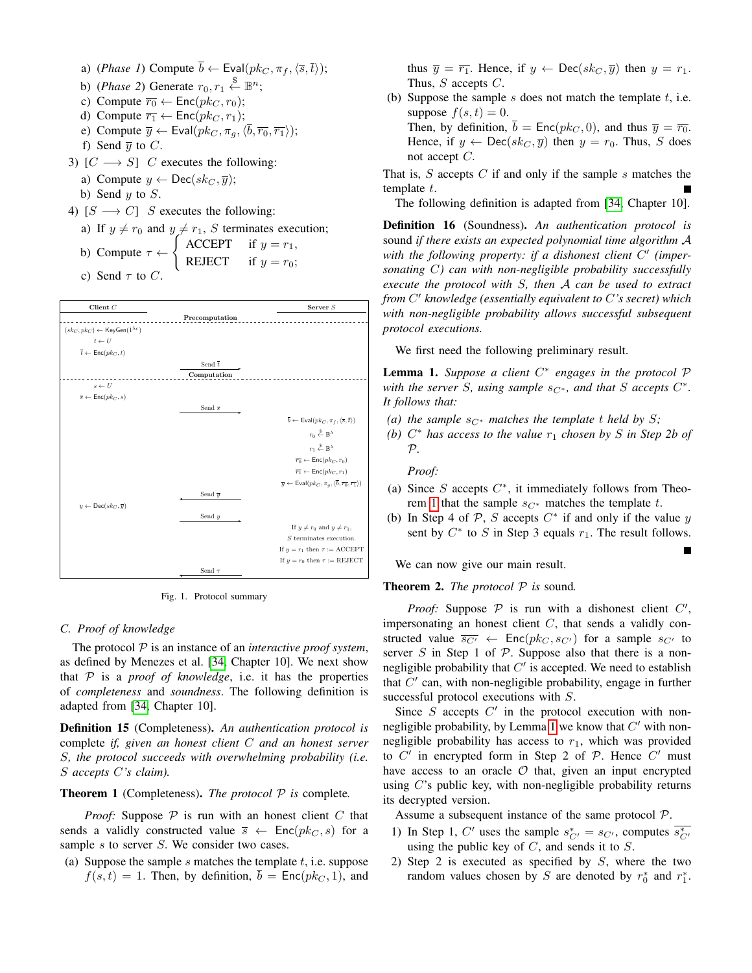- a) (*Phase 1*) Compute  $\bar{b} \leftarrow \text{Eval}(pk_C, \pi_f, \langle \bar{s}, \bar{t} \rangle);$
- b) (*Phase 2*) Generate  $r_0, r_1 \stackrel{\$}{\leftarrow} \mathbb{B}^n$ ;
- c) Compute  $\overline{r_0} \leftarrow \text{Enc}(pk_C, r_0);$
- d) Compute  $\overline{r_1} \leftarrow \text{Enc}(pk_C, r_1);$
- e) Compute  $\overline{y} \leftarrow \text{Eval}(pk_C, \pi_q, \langle \overline{b}, \overline{r_0}, \overline{r_1} \rangle);$
- f) Send  $\overline{y}$  to C.
- 3)  $[C \longrightarrow S]$  C executes the following:
	- a) Compute  $y \leftarrow \text{Dec}(sk_C, \overline{y})$ ;
	- b) Send  $y$  to  $S$ .
- 4)  $[S \rightarrow C]$  S executes the following:
	- a) If  $y \neq r_0$  and  $y \neq r_1$ , S terminates execution; b) Compute  $\tau \leftarrow$  $\int$  ACCEPT if  $y = r_1$ , REJECT if  $y = r_0$ ;
	- c) Send  $\tau$  to C.



<span id="page-4-0"></span>Fig. 1. Protocol summary

# *C. Proof of knowledge*

The protocol P is an instance of an *interactive proof system*, as defined by Menezes et al. [\[34,](#page-9-25) Chapter 10]. We next show that  $P$  is a *proof of knowledge*, i.e. it has the properties of *completeness* and *soundness*. The following definition is adapted from [\[34,](#page-9-25) Chapter 10].

Definition 15 (Completeness). *An authentication protocol is* complete *if, given an honest client* C *and an honest server* S*, the protocol succeeds with overwhelming probability (i.e.* S *accepts* C*'s claim).*

<span id="page-4-1"></span>Theorem 1 (Completeness). *The protocol* P *is* complete*.*

*Proof:* Suppose  $P$  is run with an honest client  $C$  that sends a validly constructed value  $\overline{s} \leftarrow \text{Enc}(pk_C, s)$  for a sample s to server S. We consider two cases.

(a) Suppose the sample s matches the template  $t$ , i.e. suppose  $f(s,t) = 1$ . Then, by definition,  $\overline{b} = \text{Enc}(pk_C, 1)$ , and thus  $\overline{y} = \overline{r_1}$ . Hence, if  $y \leftarrow \text{Dec}(sk_C, \overline{y})$  then  $y = r_1$ . Thus, S accepts C.

(b) Suppose the sample s does not match the template  $t$ , i.e. suppose  $f(s, t) = 0$ .

Then, by definition,  $\overline{b} = \text{Enc}(pk_C, 0)$ , and thus  $\overline{y} = \overline{r_0}$ . Hence, if  $y \leftarrow \text{Dec}(sk_C, \overline{y})$  then  $y = r_0$ . Thus, S does not accept C.

That is,  $S$  accepts  $C$  if and only if the sample  $s$  matches the template  $t$ .

The following definition is adapted from [\[34,](#page-9-25) Chapter 10].

Definition 16 (Soundness). *An authentication protocol is* sound *if there exists an expected polynomial time algorithm* A with the following property: if a dishonest client C' (imper*sonating* C*) can with non-negligible probability successfully execute the protocol with* S*, then* A *can be used to extract from* C 0 *knowledge (essentially equivalent to* C*'s secret) which with non-negligible probability allows successful subsequent protocol executions.*

We first need the following preliminary result.

<span id="page-4-2"></span>Lemma 1. *Suppose a client* C ∗ *engages in the protocol* P *with the server* S, using sample  $s_{C^*}$ , and that S accepts  $C^*$ . *It follows that:*

- *(a) the sample*  $s_{C^*}$  *matches the template t held by S*;
- $(b)$   $C^*$  *has access to the value*  $r_1$  *chosen by*  $S$  *in Step 2b of* P*.*

*Proof:*

- (a) Since  $S$  accepts  $C^*$ , it immediately follows from Theo-rem [1](#page-4-1) that the sample  $s_{C*}$  matches the template t.
- (b) In Step 4 of  $P$ , S accepts  $C^*$  if and only if the value y sent by  $C^*$  to S in Step 3 equals  $r_1$ . The result follows.

We can now give our main result.

# Theorem 2. *The protocol* P *is* sound*.*

*Proof:* Suppose  $P$  is run with a dishonest client  $C'$ , impersonating an honest client  $C$ , that sends a validly constructed value  $\overline{s_{C'}} \leftarrow \text{Enc}(pk_C, s_{C'})$  for a sample  $s_{C'}$  to server  $S$  in Step 1 of  $P$ . Suppose also that there is a nonnegligible probability that  $C'$  is accepted. We need to establish that  $C'$  can, with non-negligible probability, engage in further successful protocol executions with S.

Since  $S$  accepts  $C'$  in the protocol execution with non-negligible probability, by Lemma [1](#page-4-2) we know that  $C'$  with nonnegligible probability has access to  $r_1$ , which was provided to  $C'$  in encrypted form in Step 2 of  $P$ . Hence  $C'$  must have access to an oracle  $O$  that, given an input encrypted using  $C$ 's public key, with non-negligible probability returns its decrypted version.

Assume a subsequent instance of the same protocol P.

- 1) In Step 1, C' uses the sample  $s_{C'}^* = s_{C'}$ , computes  $\overline{s_{C'}^*}$ using the public key of  $C$ , and sends it to  $S$ .
- 2) Step 2 is executed as specified by  $S$ , where the two random values chosen by S are denoted by  $r_0^*$  and  $r_1^*$ .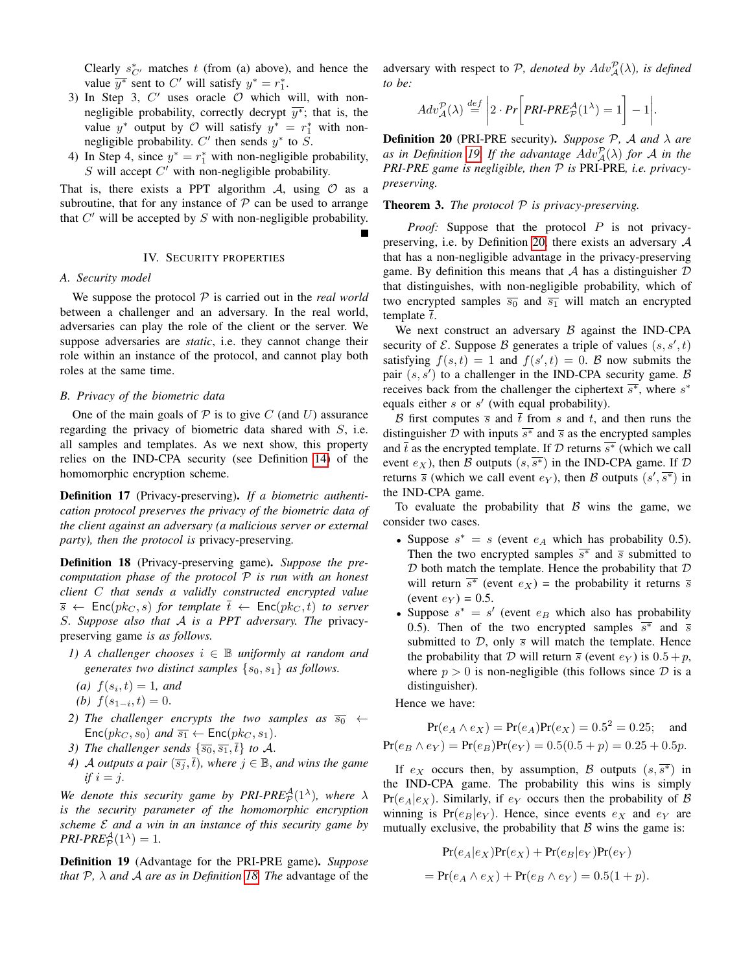Clearly  $s_{C'}^*$  matches t (from (a) above), and hence the value  $\overline{y^*}$  sent to C' will satisfy  $y^* = r_1^*$ .

- 3) In Step 3,  $C'$  uses oracle  $O$  which will, with nonnegligible probability, correctly decrypt  $\overline{y^*}$ ; that is, the value  $y^*$  output by  $\mathcal{O}$  will satisfy  $y^* = r_1^*$  with nonnegligible probability.  $C'$  then sends  $y^*$  to  $S$ .
- 4) In Step 4, since  $y^* = r_1^*$  with non-negligible probability,  $S$  will accept  $C'$  with non-negligible probability.

That is, there exists a PPT algorithm  $A$ , using  $O$  as a subroutine, that for any instance of  $P$  can be used to arrange that  $C'$  will be accepted by  $S$  with non-negligible probability.

# IV. SECURITY PROPERTIES

#### <span id="page-5-0"></span>*A. Security model*

We suppose the protocol  $P$  is carried out in the *real world* between a challenger and an adversary. In the real world, adversaries can play the role of the client or the server. We suppose adversaries are *static*, i.e. they cannot change their role within an instance of the protocol, and cannot play both roles at the same time.

#### *B. Privacy of the biometric data*

One of the main goals of  $P$  is to give C (and U) assurance regarding the privacy of biometric data shared with  $S$ , i.e. all samples and templates. As we next show, this property relies on the IND-CPA security (see Definition [14\)](#page-2-3) of the homomorphic encryption scheme.

Definition 17 (Privacy-preserving). *If a biometric authentication protocol preserves the privacy of the biometric data of the client against an adversary (a malicious server or external party), then the protocol is* privacy-preserving*.*

<span id="page-5-1"></span>Definition 18 (Privacy-preserving game). *Suppose the precomputation phase of the protocol* P *is run with an honest client* C *that sends a validly constructed encrypted value*  $\overline{s} \leftarrow \text{Enc}(pk_C, s)$  *for template*  $\overline{t} \leftarrow \text{Enc}(pk_C, t)$  *to server* S*. Suppose also that* A *is a PPT adversary. The* privacypreserving game *is as follows.*

- *1) A challenger chooses*  $i \in \mathbb{B}$  *uniformly at random and generates two distinct samples*  $\{s_0, s_1\}$  *as follows.*
- $(a) f(s_i, t) = 1, and$
- (*b*)  $f(s_{1-i}, t) = 0.$
- 2) The challenger encrypts the two samples as  $\overline{s_0} \leftarrow$  $\mathsf{Enc}(pk_C, s_0)$  *and*  $\overline{s_1} \leftarrow \mathsf{Enc}(pk_C, s_1)$ .
- *3) The challenger sends*  $\{\overline{s_0}, \overline{s_1}, \overline{t}\}\$  *to* A.
- *4) A outputs a pair*  $(\overline{s_j}, \overline{t})$ *, where*  $j \in \mathbb{B}$ *, and wins the game if*  $i = j$ .

We denote this security game by PRI-PRE<sup>A</sup> $(1^{\lambda})$ , where  $\lambda$ *is the security parameter of the homomorphic encryption scheme* E *and a win in an instance of this security game by*  $PRI\text{-}PRE^{\mathcal{A}}_{\mathcal{P}}(1^{\lambda})=1.$ 

<span id="page-5-2"></span>Definition 19 (Advantage for the PRI-PRE game). *Suppose that*  $P$ ,  $\lambda$  *and*  $\mathcal A$  *are as in Definition [18.](#page-5-1) The* advantage of the

adversary with respect to  $P$ , *denoted by*  $Adv_{\mathcal{A}}^{\mathcal{P}}(\lambda)$ , *is defined to be:*

$$
Adv_{\mathcal{A}}^{\mathcal{P}}(\lambda) \stackrel{def}{=} \bigg| 2 \cdot Pr \bigg[ PRI-PRE_{\mathcal{P}}^{\mathcal{A}}(1^{\lambda}) = 1 \bigg] - 1 \bigg|.
$$

<span id="page-5-3"></span>Definition 20 (PRI-PRE security). *Suppose* P*,* A *and* λ *are as in Definition [19.](#page-5-2) If the advantage*  $Adv_{\mathcal{A}}^{\mathcal{P}}(\lambda)$  *for A in the PRI-PRE game is negligible, then* P *is* PRI-PRE*, i.e. privacypreserving.*

# Theorem 3. *The protocol* P *is privacy-preserving.*

*Proof:* Suppose that the protocol P is not privacy-preserving, i.e. by Definition [20,](#page-5-3) there exists an adversary  $A$ that has a non-negligible advantage in the privacy-preserving game. By definition this means that A has a distinguisher  $D$ that distinguishes, with non-negligible probability, which of two encrypted samples  $\overline{s_0}$  and  $\overline{s_1}$  will match an encrypted template  $\bar{t}$ .

We next construct an adversary  $\beta$  against the IND-CPA security of  $\mathcal{E}$ . Suppose  $\mathcal{B}$  generates a triple of values  $(s, s', t)$ satisfying  $f(s,t) = 1$  and  $f(s',t) = 0$ . B now submits the pair  $(s, s')$  to a challenger in the IND-CPA security game. B receives back from the challenger the ciphertext  $\overline{s^*}$ , where  $s^*$ equals either  $s$  or  $s'$  (with equal probability).

B first computes  $\overline{s}$  and  $\overline{t}$  from s and t, and then runs the distinguisher  $\mathcal D$  with inputs  $\overline{s^*}$  and  $\overline{s}$  as the encrypted samples and  $\overline{t}$  as the encrypted template. If D returns  $\overline{s^*}$  (which we call event  $e_X$ ), then B outputs  $(s, \overline{s^*})$  in the IND-CPA game. If D returns  $\overline{s}$  (which we call event  $e_Y$ ), then B outputs  $(s', \overline{s^*})$  in the IND-CPA game.

To evaluate the probability that  $\beta$  wins the game, we consider two cases.

- Suppose  $s^* = s$  (event  $e_A$  which has probability 0.5). Then the two encrypted samples  $\overline{s^*}$  and  $\overline{s}$  submitted to  $D$  both match the template. Hence the probability that  $D$ will return  $\overline{s^*}$  (event  $e_X$ ) = the probability it returns  $\overline{s}$ (event  $e_Y$ ) = 0.5.
- Suppose  $s^* = s'$  (event  $e_B$  which also has probability 0.5). Then of the two encrypted samples  $\overline{s^*}$  and  $\overline{s}$ submitted to  $D$ , only  $\overline{s}$  will match the template. Hence the probability that D will return  $\bar{s}$  (event  $e_Y$ ) is  $0.5 + p$ , where  $p > 0$  is non-negligible (this follows since  $D$  is a distinguisher).

Hence we have:

$$
Pr(e_A \wedge e_X) = Pr(e_A)Pr(e_X) = 0.5^2 = 0.25; \text{ and}
$$
  
 
$$
Pr(e_B \wedge e_Y) = Pr(e_B)Pr(e_Y) = 0.5(0.5 + p) = 0.25 + 0.5p.
$$

If  $e_X$  occurs then, by assumption, B outputs  $(s, \overline{s^*})$  in the IND-CPA game. The probability this wins is simply  $Pr(e_A|e_X)$ . Similarly, if  $e_Y$  occurs then the probability of B winning is  $Pr(e_B|e_Y)$ . Hence, since events  $e_X$  and  $e_Y$  are mutually exclusive, the probability that  $\beta$  wins the game is:

$$
Pr(e_A|e_X)Pr(e_X) + Pr(e_B|e_Y)Pr(e_Y)
$$
  
= Pr(e\_A \wedge e\_X) + Pr(e\_B \wedge e\_Y) = 0.5(1 + p).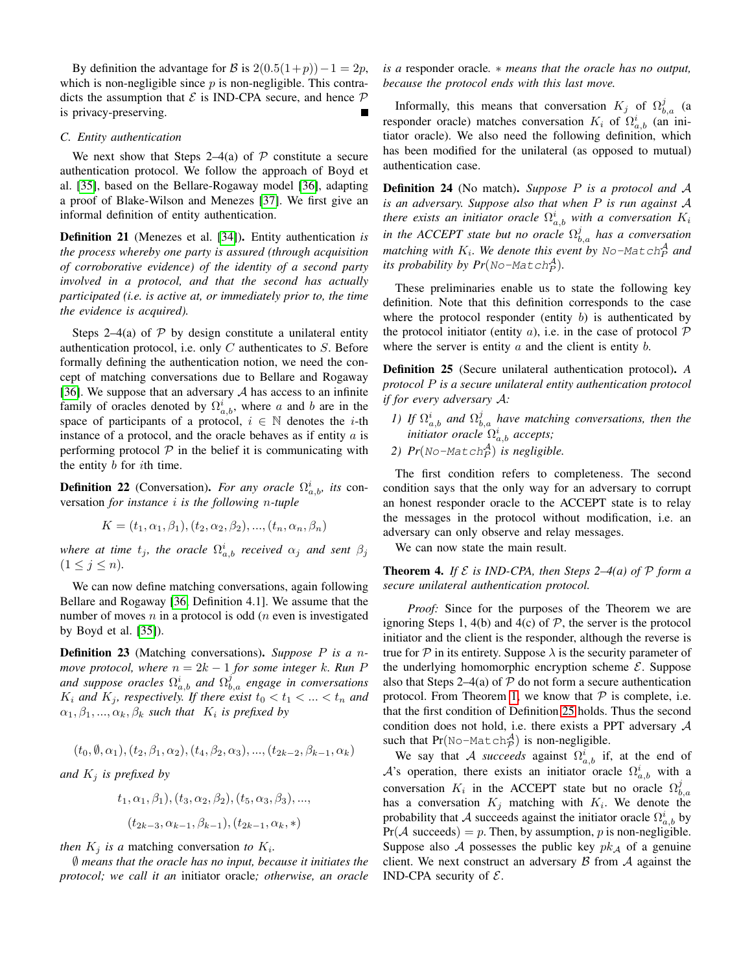By definition the advantage for B is  $2(0.5(1+p))-1=2p$ , which is non-negligible since  $p$  is non-negligible. This contradicts the assumption that  $\mathcal E$  is IND-CPA secure, and hence  $\mathcal P$ is privacy-preserving.

#### *C. Entity authentication*

We next show that Steps 2–4(a) of  $P$  constitute a secure authentication protocol. We follow the approach of Boyd et al. [\[35\]](#page-9-26), based on the Bellare-Rogaway model [\[36\]](#page-9-27), adapting a proof of Blake-Wilson and Menezes [\[37\]](#page-9-28). We first give an informal definition of entity authentication.

Definition 21 (Menezes et al. [\[34\]](#page-9-25)). Entity authentication *is the process whereby one party is assured (through acquisition of corroborative evidence) of the identity of a second party involved in a protocol, and that the second has actually participated (i.e. is active at, or immediately prior to, the time the evidence is acquired).*

Steps 2–4(a) of  $P$  by design constitute a unilateral entity authentication protocol, i.e. only  $C$  authenticates to  $S$ . Before formally defining the authentication notion, we need the concept of matching conversations due to Bellare and Rogaway [\[36\]](#page-9-27). We suppose that an adversary  $A$  has access to an infinite family of oracles denoted by  $\Omega_{a,b}^i$ , where a and b are in the space of participants of a protocol,  $i \in \mathbb{N}$  denotes the *i*-th instance of a protocol, and the oracle behaves as if entity  $a$  is performing protocol  $P$  in the belief it is communicating with the entity  $b$  for *i*th time.

**Definition 22** (Conversation). *For any oracle*  $\Omega_{a,b}^i$ , *its* conversation *for instance* i *is the following* n*-tuple*

$$
K = (t_1, \alpha_1, \beta_1), (t_2, \alpha_2, \beta_2), ..., (t_n, \alpha_n, \beta_n)
$$

where at time  $t_j$ , the oracle  $\Omega_{a,b}^i$  received  $\alpha_j$  and sent  $\beta_j$  $(1 \leq j \leq n)$ .

We can now define matching conversations, again following Bellare and Rogaway [\[36,](#page-9-27) Definition 4.1]. We assume that the number of moves  $n$  in a protocol is odd ( $n$  even is investigated by Boyd et al. [\[35\]](#page-9-26)).

Definition 23 (Matching conversations). *Suppose* P *is a* n*move protocol, where*  $n = 2k - 1$  *for some integer* k*. Run* P and suppose oracles  $\Omega_{a,b}^{i}$  and  $\Omega_{b,a}^{j}$  engage in conversations  $K_i$  *and*  $K_j$ *, respectively. If there exist*  $t_0 < t_1 < ... < t_n$  *and*  $\alpha_1, \beta_1, ..., \alpha_k, \beta_k$  such that  $K_i$  is prefixed by

$$
(t_0, \emptyset, \alpha_1), (t_2, \beta_1, \alpha_2), (t_4, \beta_2, \alpha_3), ..., (t_{2k-2}, \beta_{k-1}, \alpha_k)
$$

*and* K<sup>j</sup> *is prefixed by*

$$
t_1, \alpha_1, \beta_1), (t_3, \alpha_2, \beta_2), (t_5, \alpha_3, \beta_3), ...,
$$

$$
(t_{2k-3}, \alpha_{k-1}, \beta_{k-1}), (t_{2k-1}, \alpha_k, *)
$$

*then*  $K_j$  *is a* matching conversation *to*  $K_i$ .

∅ *means that the oracle has no input, because it initiates the protocol; we call it an* initiator oracle*; otherwise, an oracle* *is a* responder oracle*.* ∗ *means that the oracle has no output, because the protocol ends with this last move.*

Informally, this means that conversation  $K_j$  of  $\Omega_{b,a}^j$  (a responder oracle) matches conversation  $K_i$  of  $\Omega^i_{a,b}$  (an initiator oracle). We also need the following definition, which has been modified for the unilateral (as opposed to mutual) authentication case.

Definition 24 (No match). *Suppose* P *is a protocol and* A *is an adversary. Suppose also that when* P *is run against* A *there exists an initiator oracle*  $\Omega_{a,b}^{i}$  *with a conversation*  $K_{i}$ *in the ACCEPT state but no oracle*  $\Omega_{b,a}^j$  *has a conversation* matching with  $K_i$ . We denote this event by No-Match<sup>A</sup> and *its probability by*  $Pr(\text{No-Match}_P^A)$ *.* 

These preliminaries enable us to state the following key definition. Note that this definition corresponds to the case where the protocol responder (entity  $b$ ) is authenticated by the protocol initiator (entity a), i.e. in the case of protocol  $P$ where the server is entity  $a$  and the client is entity  $b$ .

<span id="page-6-0"></span>Definition 25 (Secure unilateral authentication protocol). *A protocol* P *is a secure unilateral entity authentication protocol if for every adversary* A*:*

- *1) If*  $\Omega_{a,b}^{i}$  and  $\Omega_{b,a}^{j}$  have matching conversations, then the *initiator oracle*  $Ω<sup>i</sup><sub>a,b</sub>$  *accepts;*
- 2)  $Pr($ No-Match $_A^A$ ) *is negligible.*

The first condition refers to completeness. The second condition says that the only way for an adversary to corrupt an honest responder oracle to the ACCEPT state is to relay the messages in the protocol without modification, i.e. an adversary can only observe and relay messages.

We can now state the main result.

**Theorem 4.** If  $\mathcal E$  is IND-CPA, then Steps 2–4(a) of  $\mathcal P$  form a *secure unilateral authentication protocol.*

*Proof:* Since for the purposes of the Theorem we are ignoring Steps 1, 4(b) and 4(c) of  $P$ , the server is the protocol initiator and the client is the responder, although the reverse is true for  $\mathcal P$  in its entirety. Suppose  $\lambda$  is the security parameter of the underlying homomorphic encryption scheme  $\mathcal{E}$ . Suppose also that Steps 2–4(a) of  $P$  do not form a secure authentication protocol. From Theorem [1,](#page-4-1) we know that  $P$  is complete, i.e. that the first condition of Definition [25](#page-6-0) holds. Thus the second condition does not hold, i.e. there exists a PPT adversary A such that  $Pr(\text{No-Match}_{\mathcal{P}}^{\mathcal{A}})$  is non-negligible.

We say that A *succeeds* against  $\Omega_{a,b}^{i}$  if, at the end of A's operation, there exists an initiator oracle  $\Omega^i_{a,b}$  with a conversation  $K_i$  in the ACCEPT state but no oracle  $\Omega_{b,a}^j$ has a conversation  $K_j$  matching with  $K_i$ . We denote the probability that A succeeds against the initiator oracle  $\Omega_{a,b}^{i}$  by  $Pr(A \text{ succeeds}) = p$ . Then, by assumption, p is non-negligible. Suppose also A possesses the public key  $pk_A$  of a genuine client. We next construct an adversary  $\beta$  from  $\mathcal A$  against the IND-CPA security of  $\mathcal{E}$ .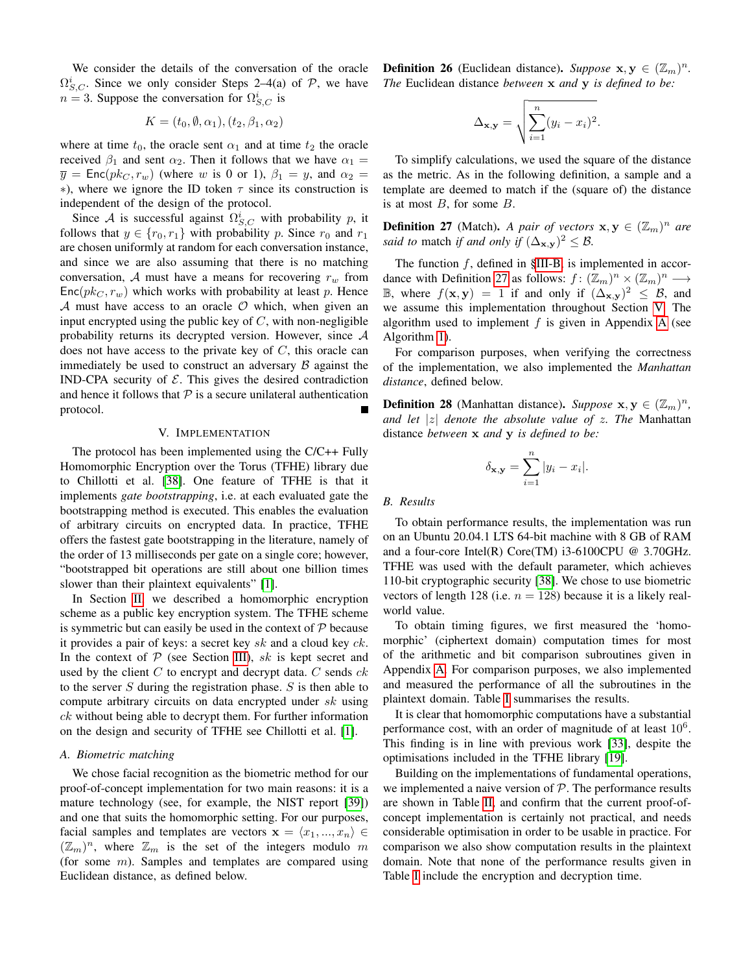We consider the details of the conversation of the oracle  $\Omega_{S,C}^{i}$ . Since we only consider Steps 2–4(a) of P, we have  $n = 3$ . Suppose the conversation for  $\Omega_{S,C}^{i}$  is

$$
K = (t_0, \emptyset, \alpha_1), (t_2, \beta_1, \alpha_2)
$$

where at time  $t_0$ , the oracle sent  $\alpha_1$  and at time  $t_2$  the oracle received  $\beta_1$  and sent  $\alpha_2$ . Then it follows that we have  $\alpha_1 =$  $\overline{y}$  = Enc(pk<sub>C</sub>, r<sub>w</sub>) (where w is 0 or 1),  $\beta_1 = y$ , and  $\alpha_2 =$  $*$ ), where we ignore the ID token  $\tau$  since its construction is independent of the design of the protocol.

Since A is successful against  $\Omega_{S,C}^{i}$  with probability p, it follows that  $y \in \{r_0, r_1\}$  with probability p. Since  $r_0$  and  $r_1$ are chosen uniformly at random for each conversation instance, and since we are also assuming that there is no matching conversation, A must have a means for recovering  $r_w$  from  $Enc(pk_C, r_w)$  which works with probability at least p. Hence A must have access to an oracle  $\mathcal O$  which, when given an input encrypted using the public key of  $C$ , with non-negligible probability returns its decrypted version. However, since A does not have access to the private key of  $C$ , this oracle can immediately be used to construct an adversary  $\beta$  against the IND-CPA security of  $\mathcal E$ . This gives the desired contradiction and hence it follows that  $P$  is a secure unilateral authentication protocol.

### V. IMPLEMENTATION

<span id="page-7-0"></span>The protocol has been implemented using the C/C++ Fully Homomorphic Encryption over the Torus (TFHE) library due to Chillotti et al. [\[38\]](#page-9-29). One feature of TFHE is that it implements *gate bootstrapping*, i.e. at each evaluated gate the bootstrapping method is executed. This enables the evaluation of arbitrary circuits on encrypted data. In practice, TFHE offers the fastest gate bootstrapping in the literature, namely of the order of 13 milliseconds per gate on a single core; however, "bootstrapped bit operations are still about one billion times slower than their plaintext equivalents" [\[1\]](#page-8-0).

In Section [II,](#page-1-0) we described a homomorphic encryption scheme as a public key encryption system. The TFHE scheme is symmetric but can easily be used in the context of  $P$  because it provides a pair of keys: a secret key  $sk$  and a cloud key  $ck$ . In the context of  $P$  (see Section [III\)](#page-2-0), sk is kept secret and used by the client  $C$  to encrypt and decrypt data.  $C$  sends  $ck$ to the server  $S$  during the registration phase.  $S$  is then able to compute arbitrary circuits on data encrypted under  $sk$  using ck without being able to decrypt them. For further information on the design and security of TFHE see Chillotti et al. [\[1\]](#page-8-0).

#### <span id="page-7-3"></span>*A. Biometric matching*

We chose facial recognition as the biometric method for our proof-of-concept implementation for two main reasons: it is a mature technology (see, for example, the NIST report [\[39\]](#page-9-30)) and one that suits the homomorphic setting. For our purposes, facial samples and templates are vectors  $\mathbf{x} = \langle x_1, ..., x_n \rangle \in$  $(\mathbb{Z}_m)^n$ , where  $\mathbb{Z}_m$  is the set of the integers modulo m (for some  $m$ ). Samples and templates are compared using Euclidean distance, as defined below.

**Definition 26** (Euclidean distance). *Suppose*  $x, y \in (\mathbb{Z}_m)^n$ . *The* Euclidean distance *between* x *and* y *is defined to be:*

$$
\Delta_{\mathbf{x},\mathbf{y}} = \sqrt{\sum_{i=1}^{n} (y_i - x_i)^2}.
$$

To simplify calculations, we used the square of the distance as the metric. As in the following definition, a sample and a template are deemed to match if the (square of) the distance is at most  $B$ , for some  $B$ .

<span id="page-7-1"></span>**Definition 27** (Match). *A pair of vectors*  $\mathbf{x}, \mathbf{y} \in (\mathbb{Z}_m)^n$  *are said to* match *if and only if*  $(\Delta_{\mathbf{x},\mathbf{y}})^2 \leq \mathcal{B}$ .

The function  $f$ , defined in  $\S$ III-B, is implemented in accor-dance with Definition [27](#page-7-1) as follows:  $f: (\mathbb{Z}_m)^n \times (\mathbb{Z}_m)^n \longrightarrow$  $\mathbb{B}$ , where  $f(\mathbf{x}, \mathbf{y}) = 1$  if and only if  $(Δ_{\mathbf{x}, \mathbf{y}})^2 ≤ B$ , and we assume this implementation throughout Section [V.](#page-7-0) The algorithm used to implement  $f$  is given in [A](#page-10-0)ppendix A (see Algorithm [1\)](#page-10-1).

For comparison purposes, when verifying the correctness of the implementation, we also implemented the *Manhattan distance*, defined below.

**Definition 28** (Manhattan distance). *Suppose*  $\mathbf{x}, \mathbf{y} \in (\mathbb{Z}_m)^n$ , *and let* |z| *denote the absolute value of* z*. The* Manhattan distance *between* x *and* y *is defined to be:*

$$
\delta_{\mathbf{x},\mathbf{y}} = \sum_{i=1}^{n} |y_i - x_i|.
$$

#### <span id="page-7-2"></span>*B. Results*

To obtain performance results, the implementation was run on an Ubuntu 20.04.1 LTS 64-bit machine with 8 GB of RAM and a four-core Intel(R) Core(TM) i3-6100CPU @ 3.70GHz. TFHE was used with the default parameter, which achieves 110-bit cryptographic security [\[38\]](#page-9-29). We chose to use biometric vectors of length 128 (i.e.  $n = 128$ ) because it is a likely realworld value.

To obtain timing figures, we first measured the 'homomorphic' (ciphertext domain) computation times for most of the arithmetic and bit comparison subroutines given in Appendix [A.](#page-10-0) For comparison purposes, we also implemented and measured the performance of all the subroutines in the plaintext domain. Table [I](#page-8-4) summarises the results.

It is clear that homomorphic computations have a substantial performance cost, with an order of magnitude of at least  $10^6$ . This finding is in line with previous work [\[33\]](#page-9-23), despite the optimisations included in the TFHE library [\[19\]](#page-9-9).

Building on the implementations of fundamental operations, we implemented a naive version of  $P$ . The performance results are shown in Table [II,](#page-8-5) and confirm that the current proof-ofconcept implementation is certainly not practical, and needs considerable optimisation in order to be usable in practice. For comparison we also show computation results in the plaintext domain. Note that none of the performance results given in Table [I](#page-8-4) include the encryption and decryption time.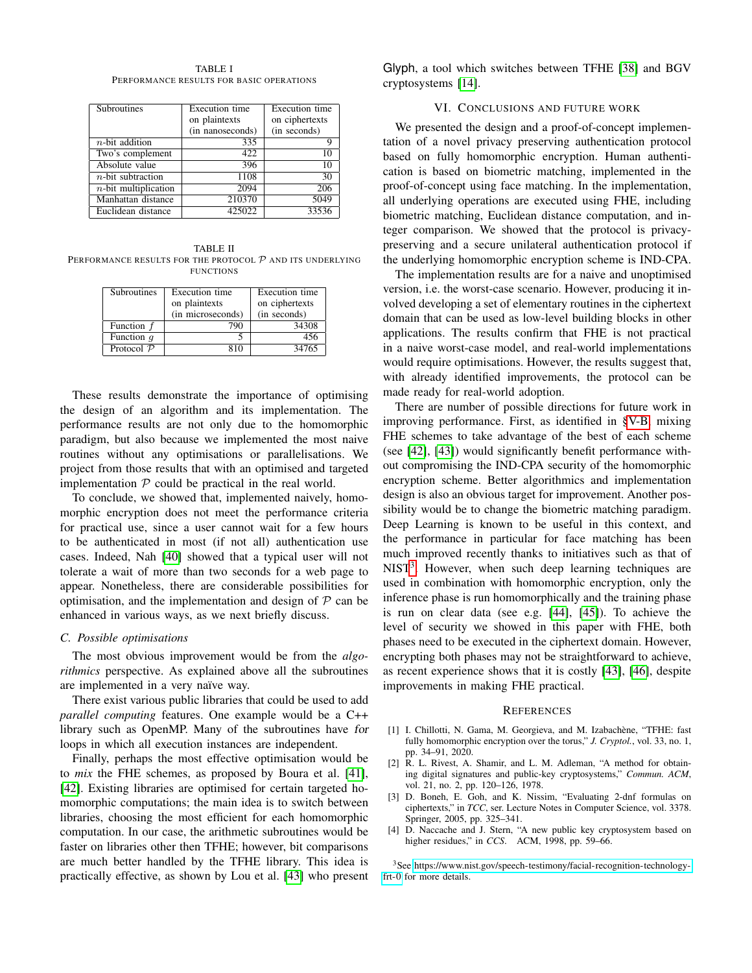TABLE I PERFORMANCE RESULTS FOR BASIC OPERATIONS

<span id="page-8-4"></span>

| Subroutines             | <b>Execution</b> time | <b>Execution</b> time |
|-------------------------|-----------------------|-----------------------|
|                         | on plaintexts         | on ciphertexts        |
|                         | (in nanoseconds)      | (in seconds)          |
| $n$ -bit addition       | 335                   |                       |
| Two's complement        | 422                   | 10                    |
| Absolute value          | 396                   | 10                    |
| $n$ -bit subtraction    | 1108                  | 30                    |
| $n$ -bit multiplication | 2094                  | 206                   |
| Manhattan distance      | 210370                | 5049                  |
| Euclidean distance      | 425022                | 33536                 |

<span id="page-8-5"></span>TABLE II PERFORMANCE RESULTS FOR THE PROTOCOL  $P$  and its underlying FUNCTIONS

| <b>Subroutines</b>    | Execution time<br>on plaintexts<br>(in microseconds) | Execution time<br>on ciphertexts<br>(in seconds) |
|-----------------------|------------------------------------------------------|--------------------------------------------------|
| Function f            |                                                      | 34308                                            |
| Function $q$          |                                                      | 456                                              |
| Protocol $\mathcal P$ |                                                      | 34765                                            |

These results demonstrate the importance of optimising the design of an algorithm and its implementation. The performance results are not only due to the homomorphic paradigm, but also because we implemented the most naive routines without any optimisations or parallelisations. We project from those results that with an optimised and targeted implementation  $P$  could be practical in the real world.

To conclude, we showed that, implemented naively, homomorphic encryption does not meet the performance criteria for practical use, since a user cannot wait for a few hours to be authenticated in most (if not all) authentication use cases. Indeed, Nah [\[40\]](#page-9-31) showed that a typical user will not tolerate a wait of more than two seconds for a web page to appear. Nonetheless, there are considerable possibilities for optimisation, and the implementation and design of  $P$  can be enhanced in various ways, as we next briefly discuss.

#### *C. Possible optimisations*

The most obvious improvement would be from the *algorithmics* perspective. As explained above all the subroutines are implemented in a very naïve way.

There exist various public libraries that could be used to add *parallel computing* features. One example would be a C++ library such as OpenMP. Many of the subroutines have for loops in which all execution instances are independent.

Finally, perhaps the most effective optimisation would be to *mix* the FHE schemes, as proposed by Boura et al. [\[41\]](#page-9-32), [\[42\]](#page-9-33). Existing libraries are optimised for certain targeted homomorphic computations; the main idea is to switch between libraries, choosing the most efficient for each homomorphic computation. In our case, the arithmetic subroutines would be faster on libraries other then TFHE; however, bit comparisons are much better handled by the TFHE library. This idea is practically effective, as shown by Lou et al. [\[43\]](#page-9-34) who present Glyph, a tool which switches between TFHE [\[38\]](#page-9-29) and BGV cryptosystems [\[14\]](#page-9-4).

# VI. CONCLUSIONS AND FUTURE WORK

<span id="page-8-3"></span>We presented the design and a proof-of-concept implementation of a novel privacy preserving authentication protocol based on fully homomorphic encryption. Human authentication is based on biometric matching, implemented in the proof-of-concept using face matching. In the implementation, all underlying operations are executed using FHE, including biometric matching, Euclidean distance computation, and integer comparison. We showed that the protocol is privacypreserving and a secure unilateral authentication protocol if the underlying homomorphic encryption scheme is IND-CPA.

The implementation results are for a naive and unoptimised version, i.e. the worst-case scenario. However, producing it involved developing a set of elementary routines in the ciphertext domain that can be used as low-level building blocks in other applications. The results confirm that FHE is not practical in a naive worst-case model, and real-world implementations would require optimisations. However, the results suggest that, with already identified improvements, the protocol can be made ready for real-world adoption.

There are number of possible directions for future work in improving performance. First, as identified in [§V-B,](#page-7-2) mixing FHE schemes to take advantage of the best of each scheme (see [\[42\]](#page-9-33), [\[43\]](#page-9-34)) would significantly benefit performance without compromising the IND-CPA security of the homomorphic encryption scheme. Better algorithmics and implementation design is also an obvious target for improvement. Another possibility would be to change the biometric matching paradigm. Deep Learning is known to be useful in this context, and the performance in particular for face matching has been much improved recently thanks to initiatives such as that of  $NIST<sup>3</sup>$  $NIST<sup>3</sup>$  $NIST<sup>3</sup>$ . However, when such deep learning techniques are used in combination with homomorphic encryption, only the inference phase is run homomorphically and the training phase is run on clear data (see e.g. [\[44\]](#page-9-35), [\[45\]](#page-9-36)). To achieve the level of security we showed in this paper with FHE, both phases need to be executed in the ciphertext domain. However, encrypting both phases may not be straightforward to achieve, as recent experience shows that it is costly [\[43\]](#page-9-34), [\[46\]](#page-9-37), despite improvements in making FHE practical.

# **REFERENCES**

- <span id="page-8-0"></span>[1] I. Chillotti, N. Gama, M. Georgieva, and M. Izabachène, "TFHE: fast fully homomorphic encryption over the torus," *J. Cryptol.*, vol. 33, no. 1, pp. 34–91, 2020.
- <span id="page-8-1"></span>[2] R. L. Rivest, A. Shamir, and L. M. Adleman, "A method for obtaining digital signatures and public-key cryptosystems," *Commun. ACM*, vol. 21, no. 2, pp. 120–126, 1978.
- <span id="page-8-2"></span>[3] D. Boneh, E. Goh, and K. Nissim, "Evaluating 2-dnf formulas on ciphertexts," in *TCC*, ser. Lecture Notes in Computer Science, vol. 3378. Springer, 2005, pp. 325–341.
- [4] D. Naccache and J. Stern, "A new public key cryptosystem based on higher residues," in *CCS*. ACM, 1998, pp. 59–66.

<span id="page-8-6"></span><sup>3</sup>See [https://www.nist.gov/speech-testimony/facial-recognition-technology](https://www.nist.gov/speech-testimony/facial-recognition-technology-frt-0)[frt-0](https://www.nist.gov/speech-testimony/facial-recognition-technology-frt-0) for more details.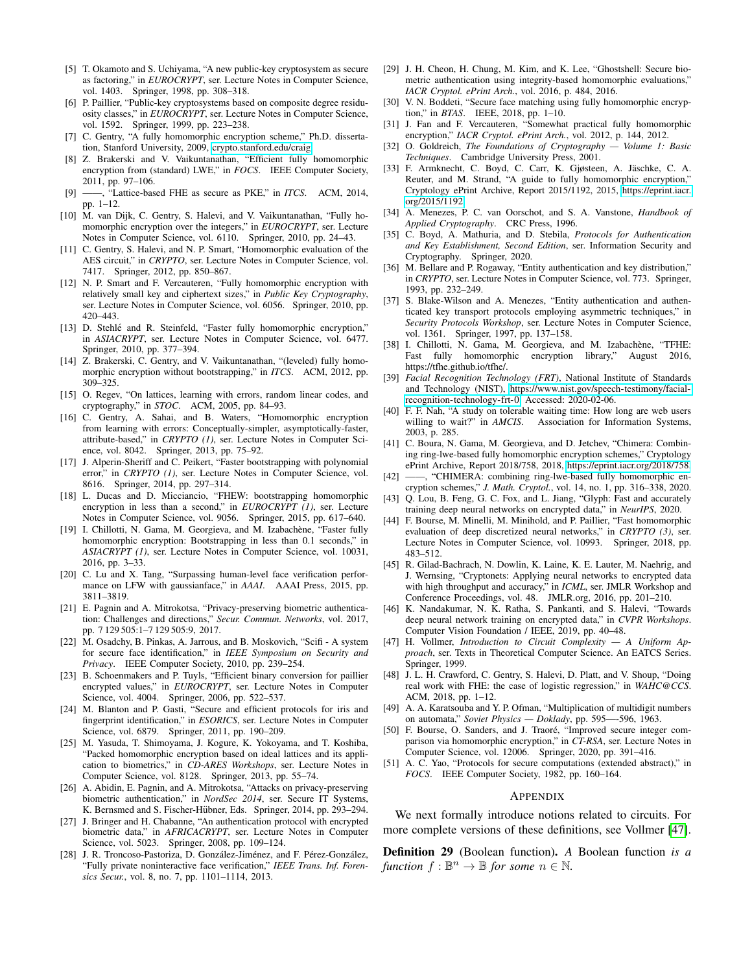- [5] T. Okamoto and S. Uchiyama, "A new public-key cryptosystem as secure as factoring," in *EUROCRYPT*, ser. Lecture Notes in Computer Science, vol. 1403. Springer, 1998, pp. 308–318.
- <span id="page-9-0"></span>[6] P. Paillier, "Public-key cryptosystems based on composite degree residuosity classes," in *EUROCRYPT*, ser. Lecture Notes in Computer Science, vol. 1592. Springer, 1999, pp. 223–238.
- <span id="page-9-1"></span>[7] C. Gentry, "A fully homomorphic encryption scheme," Ph.D. dissertation, Stanford University, 2009, [crypto.stanford.edu/craig.](crypto.stanford.edu/craig)
- <span id="page-9-2"></span>[8] Z. Brakerski and V. Vaikuntanathan, "Efficient fully homomorphic encryption from (standard) LWE," in *FOCS*. IEEE Computer Society, 2011, pp. 97–106.
- [9] ——, "Lattice-based FHE as secure as PKE," in *ITCS*. ACM, 2014, pp. 1–12.
- [10] M. van Dijk, C. Gentry, S. Halevi, and V. Vaikuntanathan, "Fully homomorphic encryption over the integers," in *EUROCRYPT*, ser. Lecture Notes in Computer Science, vol. 6110. Springer, 2010, pp. 24–43.
- [11] C. Gentry, S. Halevi, and N. P. Smart, "Homomorphic evaluation of the AES circuit," in *CRYPTO*, ser. Lecture Notes in Computer Science, vol. 7417. Springer, 2012, pp. 850–867.
- [12] N. P. Smart and F. Vercauteren, "Fully homomorphic encryption with relatively small key and ciphertext sizes," in *Public Key Cryptography*, ser. Lecture Notes in Computer Science, vol. 6056. Springer, 2010, pp. 420–443.
- <span id="page-9-3"></span>[13] D. Stehlé and R. Steinfeld, "Faster fully homomorphic encryption," in *ASIACRYPT*, ser. Lecture Notes in Computer Science, vol. 6477. Springer, 2010, pp. 377–394.
- <span id="page-9-4"></span>[14] Z. Brakerski, C. Gentry, and V. Vaikuntanathan, "(leveled) fully homomorphic encryption without bootstrapping," in *ITCS*. ACM, 2012, pp. 309–325.
- <span id="page-9-5"></span>[15] O. Regev, "On lattices, learning with errors, random linear codes, and cryptography," in *STOC*. ACM, 2005, pp. 84–93.
- <span id="page-9-6"></span>[16] C. Gentry, A. Sahai, and B. Waters, "Homomorphic encryption from learning with errors: Conceptually-simpler, asymptotically-faster, attribute-based," in *CRYPTO (1)*, ser. Lecture Notes in Computer Science, vol. 8042. Springer, 2013, pp. 75–92.
- <span id="page-9-7"></span>[17] J. Alperin-Sheriff and C. Peikert, "Faster bootstrapping with polynomial error," in *CRYPTO (1)*, ser. Lecture Notes in Computer Science, vol. 8616. Springer, 2014, pp. 297–314.
- <span id="page-9-8"></span>[18] L. Ducas and D. Micciancio, "FHEW: bootstrapping homomorphic encryption in less than a second," in *EUROCRYPT (1)*, ser. Lecture Notes in Computer Science, vol. 9056. Springer, 2015, pp. 617–640.
- <span id="page-9-9"></span>[19] I. Chillotti, N. Gama, M. Georgieva, and M. Izabachène, "Faster fully homomorphic encryption: Bootstrapping in less than 0.1 seconds," in *ASIACRYPT (1)*, ser. Lecture Notes in Computer Science, vol. 10031, 2016, pp. 3–33.
- <span id="page-9-10"></span>[20] C. Lu and X. Tang, "Surpassing human-level face verification performance on LFW with gaussianface," in *AAAI*. AAAI Press, 2015, pp. 3811–3819.
- <span id="page-9-11"></span>[21] E. Pagnin and A. Mitrokotsa, "Privacy-preserving biometric authentication: Challenges and directions," *Secur. Commun. Networks*, vol. 2017, pp. 7 129 505:1–7 129 505:9, 2017.
- <span id="page-9-12"></span>[22] M. Osadchy, B. Pinkas, A. Jarrous, and B. Moskovich, "Scifi - A system for secure face identification," in *IEEE Symposium on Security and Privacy*. IEEE Computer Society, 2010, pp. 239–254.
- <span id="page-9-13"></span>[23] B. Schoenmakers and P. Tuyls, "Efficient binary conversion for paillier encrypted values," in *EUROCRYPT*, ser. Lecture Notes in Computer Science, vol. 4004. Springer, 2006, pp. 522–537.
- <span id="page-9-14"></span>[24] M. Blanton and P. Gasti, "Secure and efficient protocols for iris and fingerprint identification," in *ESORICS*, ser. Lecture Notes in Computer Science, vol. 6879. Springer, 2011, pp. 190–209.
- <span id="page-9-15"></span>[25] M. Yasuda, T. Shimoyama, J. Kogure, K. Yokoyama, and T. Koshiba, "Packed homomorphic encryption based on ideal lattices and its application to biometrics," in *CD-ARES Workshops*, ser. Lecture Notes in Computer Science, vol. 8128. Springer, 2013, pp. 55–74.
- <span id="page-9-16"></span>[26] A. Abidin, E. Pagnin, and A. Mitrokotsa, "Attacks on privacy-preserving biometric authentication," in *NordSec 2014*, ser. Secure IT Systems, K. Bernsmed and S. Fischer-Hübner, Eds. Springer, 2014, pp. 293–294.
- <span id="page-9-17"></span>[27] J. Bringer and H. Chabanne, "An authentication protocol with encrypted biometric data," in *AFRICACRYPT*, ser. Lecture Notes in Computer Science, vol. 5023. Springer, 2008, pp. 109–124.
- <span id="page-9-18"></span>[28] J. R. Troncoso-Pastoriza, D. González-Jiménez, and F. Pérez-González, "Fully private noninteractive face verification," *IEEE Trans. Inf. Forensics Secur.*, vol. 8, no. 7, pp. 1101–1114, 2013.
- <span id="page-9-19"></span>[29] J. H. Cheon, H. Chung, M. Kim, and K. Lee, "Ghostshell: Secure biometric authentication using integrity-based homomorphic evaluations," *IACR Cryptol. ePrint Arch.*, vol. 2016, p. 484, 2016.
- <span id="page-9-20"></span>[30] V. N. Boddeti, "Secure face matching using fully homomorphic encryption," in *BTAS*. IEEE, 2018, pp. 1–10.
- <span id="page-9-21"></span>[31] J. Fan and F. Vercauteren, "Somewhat practical fully homomorphic encryption," *IACR Cryptol. ePrint Arch.*, vol. 2012, p. 144, 2012.
- <span id="page-9-22"></span>[32] O. Goldreich, *The Foundations of Cryptography — Volume 1: Basic Techniques*. Cambridge University Press, 2001.
- <span id="page-9-23"></span>[33] F. Armknecht, C. Boyd, C. Carr, K. Gjøsteen, A. Jäschke, C. A. Reuter, and M. Strand, "A guide to fully homomorphic encryption," Cryptology ePrint Archive, Report 2015/1192, 2015, [https://eprint.iacr.](https://eprint.iacr.org/2015/1192) [org/2015/1192.](https://eprint.iacr.org/2015/1192)
- <span id="page-9-25"></span>[34] A. Menezes, P. C. van Oorschot, and S. A. Vanstone, *Handbook of Applied Cryptography*. CRC Press, 1996.
- <span id="page-9-26"></span>[35] C. Boyd, A. Mathuria, and D. Stebila, *Protocols for Authentication and Key Establishment, Second Edition*, ser. Information Security and Cryptography. Springer, 2020.
- <span id="page-9-27"></span>[36] M. Bellare and P. Rogaway, "Entity authentication and key distribution," in *CRYPTO*, ser. Lecture Notes in Computer Science, vol. 773. Springer, 1993, pp. 232–249.
- <span id="page-9-28"></span>[37] S. Blake-Wilson and A. Menezes, "Entity authentication and authenticated key transport protocols employing asymmetric techniques," in *Security Protocols Workshop*, ser. Lecture Notes in Computer Science, vol. 1361. Springer, 1997, pp. 137–158.
- <span id="page-9-29"></span>[38] I. Chillotti, N. Gama, M. Georgieva, and M. Izabachène, "TFHE:<br>Fast fully homomorphic encryption library." August 2016. Fast fully homomorphic encryption library," https://tfhe.github.io/tfhe/.
- <span id="page-9-30"></span>[39] *Facial Recognition Technology (FRT)*, National Institute of Standards and Technology (NIST), [https://www.nist.gov/speech-testimony/facial](https://www.nist.gov/speech-testimony/facial-recognition-technology-frt-0)[recognition-technology-frt-0.](https://www.nist.gov/speech-testimony/facial-recognition-technology-frt-0) Accessed: 2020-02-06.
- <span id="page-9-31"></span>[40] F. F. Nah, "A study on tolerable waiting time: How long are web users willing to wait?" in *AMCIS*. Association for Information Systems, 2003, p. 285.
- <span id="page-9-32"></span>[41] C. Boura, N. Gama, M. Georgieva, and D. Jetchev, "Chimera: Combining ring-lwe-based fully homomorphic encryption schemes," Cryptology ePrint Archive, Report 2018/758, 2018, [https://eprint.iacr.org/2018/758.](https://eprint.iacr.org/2018/758)
- <span id="page-9-33"></span>[42] ——, "CHIMERA: combining ring-lwe-based fully homomorphic encryption schemes," *J. Math. Cryptol.*, vol. 14, no. 1, pp. 316–338, 2020.
- <span id="page-9-34"></span>[43] Q. Lou, B. Feng, G. C. Fox, and L. Jiang, "Glyph: Fast and accurately training deep neural networks on encrypted data," in *NeurIPS*, 2020.
- <span id="page-9-35"></span>[44] F. Bourse, M. Minelli, M. Minihold, and P. Paillier, "Fast homomorphic evaluation of deep discretized neural networks," in *CRYPTO (3)*, ser. Lecture Notes in Computer Science, vol. 10993. Springer, 2018, pp. 483–512.
- <span id="page-9-36"></span>[45] R. Gilad-Bachrach, N. Dowlin, K. Laine, K. E. Lauter, M. Naehrig, and J. Wernsing, "Cryptonets: Applying neural networks to encrypted data with high throughput and accuracy," in *ICML*, ser. JMLR Workshop and Conference Proceedings, vol. 48. JMLR.org, 2016, pp. 201–210.
- <span id="page-9-37"></span>[46] K. Nandakumar, N. K. Ratha, S. Pankanti, and S. Halevi, "Towards deep neural network training on encrypted data," in *CVPR Workshops*. Computer Vision Foundation / IEEE, 2019, pp. 40–48.
- <span id="page-9-38"></span>[47] H. Vollmer, *Introduction to Circuit Complexity — A Uniform Approach*, ser. Texts in Theoretical Computer Science. An EATCS Series. Springer, 1999.
- <span id="page-9-39"></span>[48] J. L. H. Crawford, C. Gentry, S. Halevi, D. Platt, and V. Shoup, "Doing real work with FHE: the case of logistic regression," in *WAHC@CCS*. ACM, 2018, pp. 1–12.
- <span id="page-9-40"></span>[49] A. A. Karatsouba and Y. P. Ofman, "Multiplication of multidigit numbers on automata," *Soviet Physics — Doklady*, pp. 595—-596, 1963.
- <span id="page-9-41"></span>[50] F. Bourse, O. Sanders, and J. Traoré, "Improved secure integer comparison via homomorphic encryption," in *CT-RSA*, ser. Lecture Notes in Computer Science, vol. 12006. Springer, 2020, pp. 391–416.
- <span id="page-9-42"></span>[51] A. C. Yao, "Protocols for secure computations (extended abstract)," in *FOCS*. IEEE Computer Society, 1982, pp. 160–164.

#### <span id="page-9-24"></span>APPENDIX

We next formally introduce notions related to circuits. For more complete versions of these definitions, see Vollmer [\[47\]](#page-9-38).

Definition 29 (Boolean function). *A* Boolean function *is a*  $function f: \mathbb{B}^n \to \mathbb{B}$  *for some*  $n \in \mathbb{N}$ .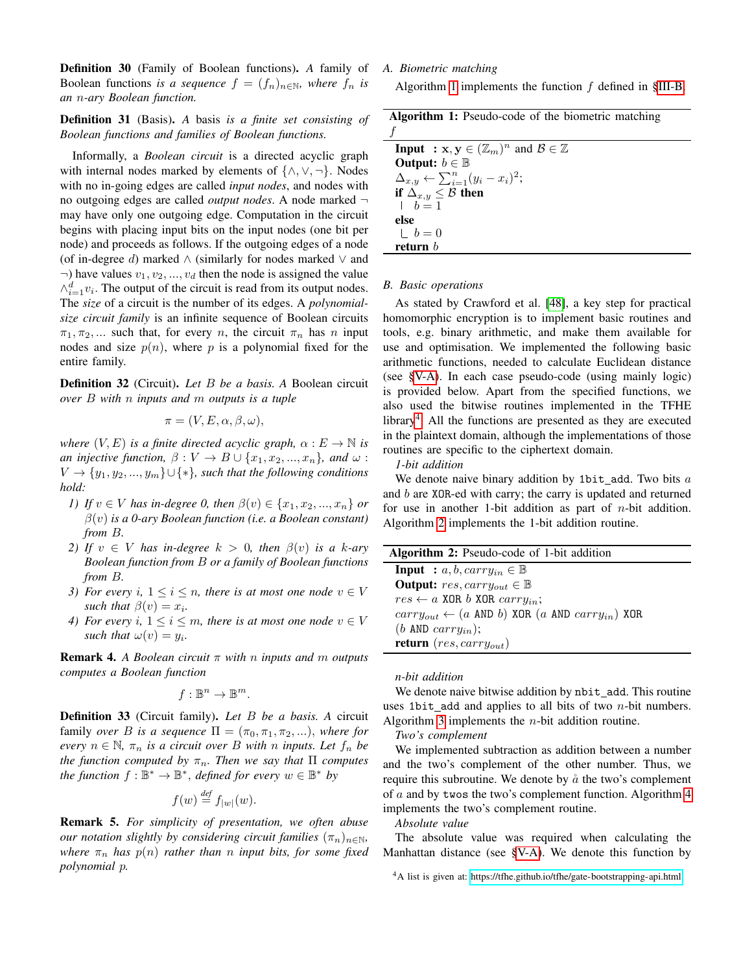Definition 30 (Family of Boolean functions). *A* family of Boolean functions *is a sequence*  $f = (f_n)_{n \in \mathbb{N}}$ *, where*  $f_n$  *is an* n*-ary Boolean function.*

Definition 31 (Basis). *A* basis *is a finite set consisting of Boolean functions and families of Boolean functions.*

Informally, a *Boolean circuit* is a directed acyclic graph with internal nodes marked by elements of  $\{\wedge, \vee, \neg\}$ . Nodes with no in-going edges are called *input nodes*, and nodes with no outgoing edges are called *output nodes*. A node marked may have only one outgoing edge. Computation in the circuit begins with placing input bits on the input nodes (one bit per node) and proceeds as follows. If the outgoing edges of a node (of in-degree d) marked  $\wedge$  (similarly for nodes marked  $\vee$  and  $\neg$ ) have values  $v_1, v_2, ..., v_d$  then the node is assigned the value  $\wedge_{i=1}^d v_i$ . The output of the circuit is read from its output nodes. The *size* of a circuit is the number of its edges. A *polynomialsize circuit family* is an infinite sequence of Boolean circuits  $\pi_1, \pi_2, \dots$  such that, for every n, the circuit  $\pi_n$  has n input nodes and size  $p(n)$ , where p is a polynomial fixed for the entire family.

Definition 32 (Circuit). *Let* B *be a basis. A* Boolean circuit *over* B *with* n *inputs and* m *outputs is a tuple*

$$
\pi = (V, E, \alpha, \beta, \omega),
$$

*where*  $(V, E)$  *is a finite directed acyclic graph,*  $\alpha : E \to \mathbb{N}$  *is an injective function,*  $\beta: V \to B \cup \{x_1, x_2, ..., x_n\}$ *, and*  $\omega$ :  $V \rightarrow \{y_1, y_2, ..., y_m\} \cup \{*\}$ , such that the following conditions *hold:*

- *1) If*  $v \in V$  *has in-degree 0, then*  $\beta(v) \in \{x_1, x_2, ..., x_n\}$  *or* β(v) *is a 0-ary Boolean function (i.e. a Boolean constant) from* B*.*
- *2)* If  $v \in V$  has in-degree  $k > 0$ , then  $\beta(v)$  is a k-ary *Boolean function from* B *or a family of Boolean functions from* B*.*
- *3)* For every i,  $1 \le i \le n$ , there is at most one node  $v \in V$ *such that*  $\beta(v) = x_i$ .
- *4)* For every i,  $1 \le i \le m$ , there is at most one node  $v \in V$ *such that*  $\omega(v) = y_i$ .

Remark 4. *A Boolean circuit* π *with* n *inputs and* m *outputs computes a Boolean function*

$$
f:\mathbb{B}^n\to\mathbb{B}^m.
$$

Definition 33 (Circuit family). *Let* B *be a basis. A* circuit family *over* B is a sequence  $\Pi = (\pi_0, \pi_1, \pi_2, \ldots)$ , where for *every*  $n \in \mathbb{N}$ ,  $\pi_n$  *is a circuit over B with n inputs. Let*  $f_n$  *be the function computed by*  $\pi_n$ *. Then we say that*  $\Pi$  *computes*  $the function f: \mathbb{B}^* \to \mathbb{B}^*$ , *defined for every*  $w \in \mathbb{B}^*$  *by* 

$$
f(w) \stackrel{\text{def}}{=} f_{|w|}(w).
$$

<span id="page-10-0"></span>Remark 5. *For simplicity of presentation, we often abuse our notation slightly by considering circuit families*  $(\pi_n)_{n \in \mathbb{N}}$ *, where*  $\pi_n$  *has*  $p(n)$  *rather than n input bits, for some fixed polynomial* p*.*

# *A. Biometric matching*

<span id="page-10-1"></span>Algorithm [1](#page-10-1) implements the function  $f$  defined in  $$III-B$ .

| Algorithm 1: Pseudo-code of the biometric matching                          |
|-----------------------------------------------------------------------------|
|                                                                             |
| <b>Input</b> : $x, y \in (\mathbb{Z}_m)^n$ and $\mathcal{B} \in \mathbb{Z}$ |
| <b>Output:</b> $b \in \mathbb{B}$                                           |
| $\Delta_{x,y} \leftarrow \sum_{i=1}^n (y_i - x_i)^2;$                       |
| if $\Delta_{x,y} \leq \mathcal{B}$ then                                     |
| $h = 1$                                                                     |
| else                                                                        |
| $b=0$                                                                       |
| return $b$                                                                  |

#### *B. Basic operations*

As stated by Crawford et al. [\[48\]](#page-9-39), a key step for practical homomorphic encryption is to implement basic routines and tools, e.g. binary arithmetic, and make them available for use and optimisation. We implemented the following basic arithmetic functions, needed to calculate Euclidean distance (see [§V-A\)](#page-7-3). In each case pseudo-code (using mainly logic) is provided below. Apart from the specified functions, we also used the bitwise routines implemented in the TFHE library<sup>[4](#page-10-2)</sup>. All the functions are presented as they are executed in the plaintext domain, although the implementations of those routines are specific to the ciphertext domain.

*1-bit addition*

We denote naive binary addition by  $1bit\_add$ . Two bits  $a$ and  $b$  are XOR-ed with carry; the carry is updated and returned for use in another 1-bit addition as part of  $n$ -bit addition. Algorithm [2](#page-10-3) implements the 1-bit addition routine.

<span id="page-10-3"></span>

| <b>Algorithm 2:</b> Pseudo-code of 1-bit addition                                                 |  |
|---------------------------------------------------------------------------------------------------|--|
| <b>Input</b> : a, b, carry <sub>in</sub> $\in \mathbb{B}$                                         |  |
| <b>Output:</b> res, carry <sub>out</sub> $\in \mathbb{B}$                                         |  |
| $res \leftarrow a$ XOR b XOR carry <sub>in</sub> ;                                                |  |
| $carry_{out} \leftarrow (a \text{ AND } b) \text{ XOR } (a \text{ AND } carry_{in}) \text{ XOR }$ |  |
| $(b$ AND $carry_{in}$ );                                                                          |  |
| return $(res, carry_{out})$                                                                       |  |

*n-bit addition*

We denote naive bitwise addition by nbit add. This routine uses 1bit add and applies to all bits of two  $n$ -bit numbers. Algorithm [3](#page-10-4) implements the  $n$ -bit addition routine.

<span id="page-10-4"></span>*Two's complement*

We implemented subtraction as addition between a number and the two's complement of the other number. Thus, we require this subroutine. We denote by  $\hat{a}$  the two's complement of a and by twos the two's complement function. Algorithm [4](#page-10-5) implements the two's complement routine.

<span id="page-10-5"></span>*Absolute value*

The absolute value was required when calculating the Manhattan distance (see [§V-A\)](#page-7-3). We denote this function by

<span id="page-10-2"></span><sup>4</sup>A list is given at:<https://tfhe.github.io/tfhe/gate-bootstrapping-api.html>